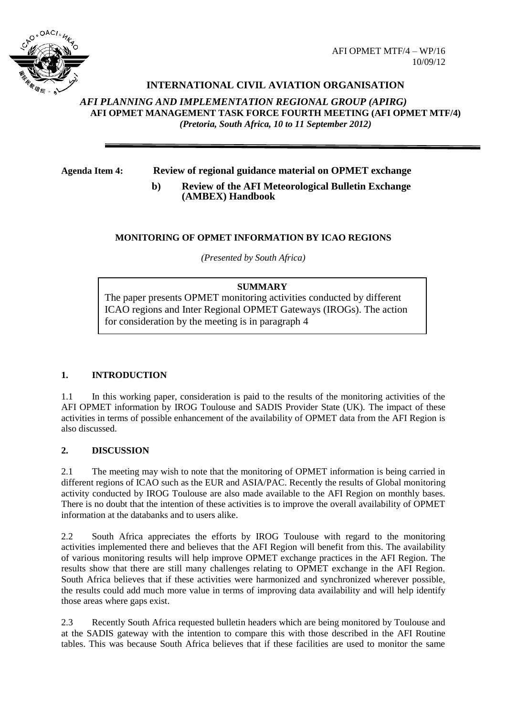

# **INTERNATIONAL CIVIL AVIATION ORGANISATION**

*AFI PLANNING AND IMPLEMENTATION REGIONAL GROUP (APIRG)* **AFI OPMET MANAGEMENT TASK FORCE FOURTH MEETING (AFI OPMET MTF/4)**  *(Pretoria, South Africa, 10 to 11 September 2012)*

**Agenda Item 4: Review of regional guidance material on OPMET exchange**

**b) Review of the AFI Meteorological Bulletin Exchange (AMBEX) Handbook**

# **MONITORING OF OPMET INFORMATION BY ICAO REGIONS**

*(Presented by South Africa)*

#### **SUMMARY**

The paper presents OPMET monitoring activities conducted by different ICAO regions and Inter Regional OPMET Gateways (IROGs). The action for consideration by the meeting is in paragraph 4

# **1. INTRODUCTION**

1.1 In this working paper, consideration is paid to the results of the monitoring activities of the AFI OPMET information by IROG Toulouse and SADIS Provider State (UK). The impact of these activities in terms of possible enhancement of the availability of OPMET data from the AFI Region is also discussed.

# **2. DISCUSSION**

2.1 The meeting may wish to note that the monitoring of OPMET information is being carried in different regions of ICAO such as the EUR and ASIA/PAC. Recently the results of Global monitoring activity conducted by IROG Toulouse are also made available to the AFI Region on monthly bases. There is no doubt that the intention of these activities is to improve the overall availability of OPMET information at the databanks and to users alike.

2.2 South Africa appreciates the efforts by IROG Toulouse with regard to the monitoring activities implemented there and believes that the AFI Region will benefit from this. The availability of various monitoring results will help improve OPMET exchange practices in the AFI Region. The results show that there are still many challenges relating to OPMET exchange in the AFI Region. South Africa believes that if these activities were harmonized and synchronized wherever possible, the results could add much more value in terms of improving data availability and will help identify those areas where gaps exist.

2.3 Recently South Africa requested bulletin headers which are being monitored by Toulouse and at the SADIS gateway with the intention to compare this with those described in the AFI Routine tables. This was because South Africa believes that if these facilities are used to monitor the same